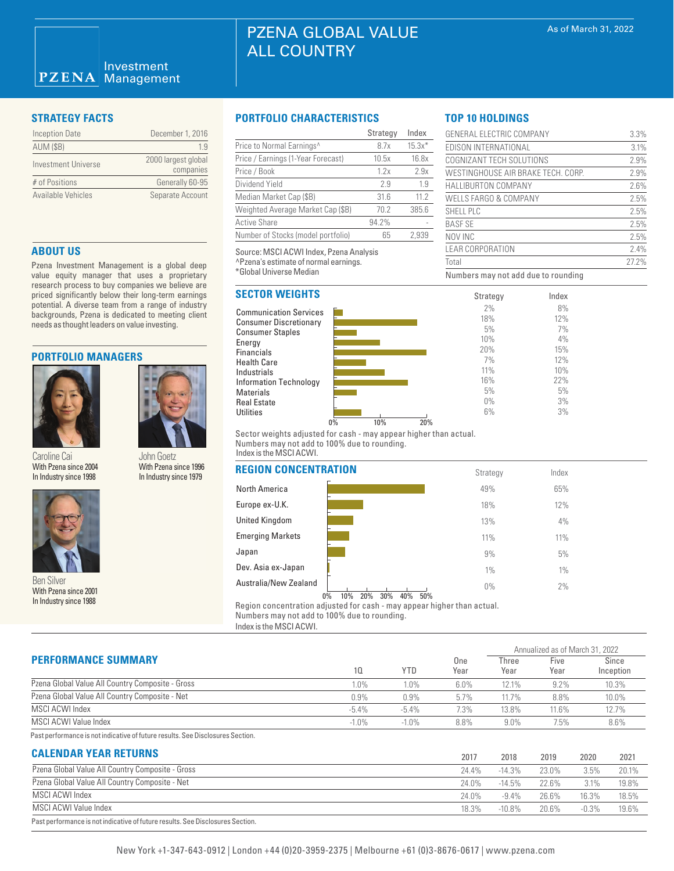| <b>Inception Date</b> | December 1, 2016                 |
|-----------------------|----------------------------------|
| <b>AUM (\$B)</b>      | 19                               |
| Investment Universe   | 2000 largest global<br>companies |
| # of Positions        | Generally 60-95                  |
| Available Vehicles    | Separate Account                 |

# **ABOUT US**

Pzena Investment Management is a global deep value equity manager that uses a proprietary research process to buy companies we believe are priced significantly below their long-term earnings potential. A diverse team from a range of industry backgrounds, Pzena is dedicated to meeting client needs as thought leaders on value investing.

# **PORTFOLIO MANAGERS**



John Goetz With Pzena since 1996 In Industry since 1979 With Pzena since 2004



With Pzena since 2001 In Industry since 1988

## **STRATEGY FACTS PORTFOLIO CHARACTERISTICS**

|                                    | Strategy | Index    |
|------------------------------------|----------|----------|
| Price to Normal Earnings^          | 8.7x     | $15.3x*$ |
| Price / Earnings (1-Year Forecast) | 10.5x    | 16.8x    |
| Price / Book                       | 1.2x     | 2.9x     |
| Dividend Yield                     | 2.9      | 1.9      |
| Median Market Cap (\$B)            | 31.6     | 11.2     |
| Weighted Average Market Cap (\$B)  | 70.2     | 385.6    |
| <b>Active Share</b>                | 94.2%    |          |
| Number of Stocks (model portfolio) | 65       | 2.939    |

Source: MSCI ACWI Index, Pzena Analysis ^Pzena's estimate of normal earnings. \*Global Universe Median

# **SECTOR WEIGHTS**





Sector weights adjusted for cash - may appear higher than actual. Numbers may not add to 100% due to rounding. Index is the MSCI ACWI.

| With Pzena since 2004<br>In Industry since 1998                              | With Pzena since 1996<br>In Industry since 1979 | <b>REGION CONCENTRATION</b>                  | Strategy                   | Index |  |
|------------------------------------------------------------------------------|-------------------------------------------------|----------------------------------------------|----------------------------|-------|--|
|                                                                              |                                                 | North America                                | 49%                        | 65%   |  |
|                                                                              |                                                 | Europe ex-U.K.                               | 18%                        | 12%   |  |
|                                                                              | <b>United Kingdom</b>                           | 13%                                          | 4%                         |       |  |
|                                                                              | <b>Emerging Markets</b>                         | 11%                                          | 11%                        |       |  |
|                                                                              |                                                 | Japan                                        | 9%                         | 5%    |  |
|                                                                              |                                                 | Dev. Asia ex-Japan                           | 1%                         | $1\%$ |  |
| <b>Ben Silver</b><br>With Pzena since 2001<br>$L = L = L = L = L = L = 1000$ |                                                 | Australia/New Zealand<br>10%<br>20%<br>$0\%$ | $0\%$<br>40%<br>30%<br>50% | 2%    |  |

Region concentration adjusted for cash - may appear higher than actual. Numbers may not add to 100% due to rounding.

Index is the MSCI ACWI.

|                                                                                |         |            |             |               | Annualized as of March 31, 2022 |                    |  |
|--------------------------------------------------------------------------------|---------|------------|-------------|---------------|---------------------------------|--------------------|--|
| <b>PERFORMANCE SUMMARY</b>                                                     | 10      | <b>YTD</b> | One<br>Year | Three<br>Year | Five<br>Year                    | Since<br>Inception |  |
| Pzena Global Value All Country Composite - Gross                               | 1.0%    | $1.0\%$    | $6.0\%$     | 12.1%         | 9.2%                            | 10.3%              |  |
| Pzena Global Value All Country Composite - Net                                 | 0.9%    | 0.9%       | 5.7%        | 11.7%         | 8.8%                            | 10.0%              |  |
| MSCI ACWI Index                                                                | $-5.4%$ | $-5.4\%$   | 7.3%        | 13.8%         | $11.6\%$                        | 12.7%              |  |
| MSCI ACWI Value Index                                                          | $-1.0%$ | $-1.0%$    | 8.8%        | 9.0%          | 7.5%                            | 8.6%               |  |
| Past performance is not indicative of future results. See Disclosures Section. |         |            |             |               |                                 |                    |  |

# **CALENDAR YEAR RETURNS**

| <b>UALENDAN TEAN NETUNIVO</b>                                                  | 2017     | 2018      | 2019  | 2020     | 2021  |
|--------------------------------------------------------------------------------|----------|-----------|-------|----------|-------|
| Pzena Global Value All Country Composite - Gross                               | 24.4%    | $-14.3\%$ | 23.0% | $3.5\%$  | 20.1% |
| Pzena Global Value All Country Composite - Net                                 | $24.0\%$ | $-14.5\%$ | 22.6% | 3.1%     | 19.8% |
| MSCI ACWI Index                                                                | 24.0%    | $-9.4\%$  | 26.6% | 16.3%    | 18.5% |
| MSCI ACWI Value Index                                                          | 18.3%    | $-10.8\%$ | 20.6% | $-0.3\%$ | 19.6% |
| Past performance is not indicative of future results. See Disclosures Section. |          |           |       |          |       |

# **TOP 10 HOLDINGS**

| GENERAL ELECTRIC COMPANY           | 3.3%  |
|------------------------------------|-------|
| EDISON INTERNATIONAL               | 3.1%  |
| COGNIZANT TECH SOLUTIONS           | 2.9%  |
| WESTINGHOUSE AIR BRAKE TECH. CORP. | 2.9%  |
| <b>HALLIBURTON COMPANY</b>         | 2.6%  |
| WELLS FARGO & COMPANY              | 2.5%  |
| SHELL PLC                          | 2.5%  |
| <b>BASE SE</b>                     | 2.5%  |
| NOV INC                            | 2.5%  |
| LEAR CORPORATION                   | 2.4%  |
| Total                              | 27.2% |
|                                    |       |

Index 8% 12% 7% 4% 15% 12% 10% 22% 5% 3% 3%

Numbers may not add due to rounding